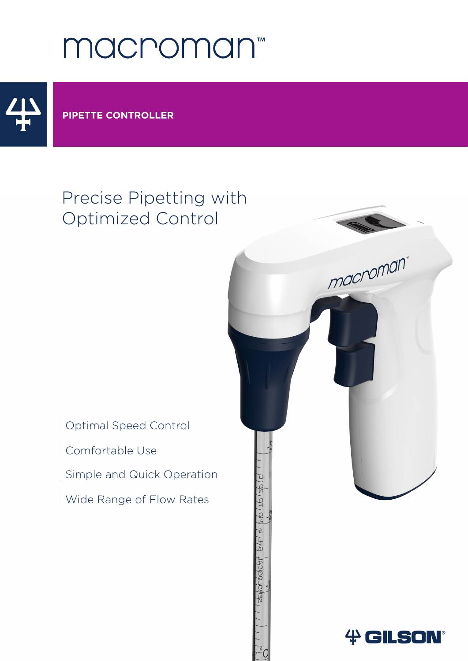# macroman<sup>®</sup>



#### **PIPETTE CONTROLLER**

## Precise Pipetting with Optimized Control

Optimal Speed Control Comfortable Use Simple and Quick Operation Wide Range of Flow Rates